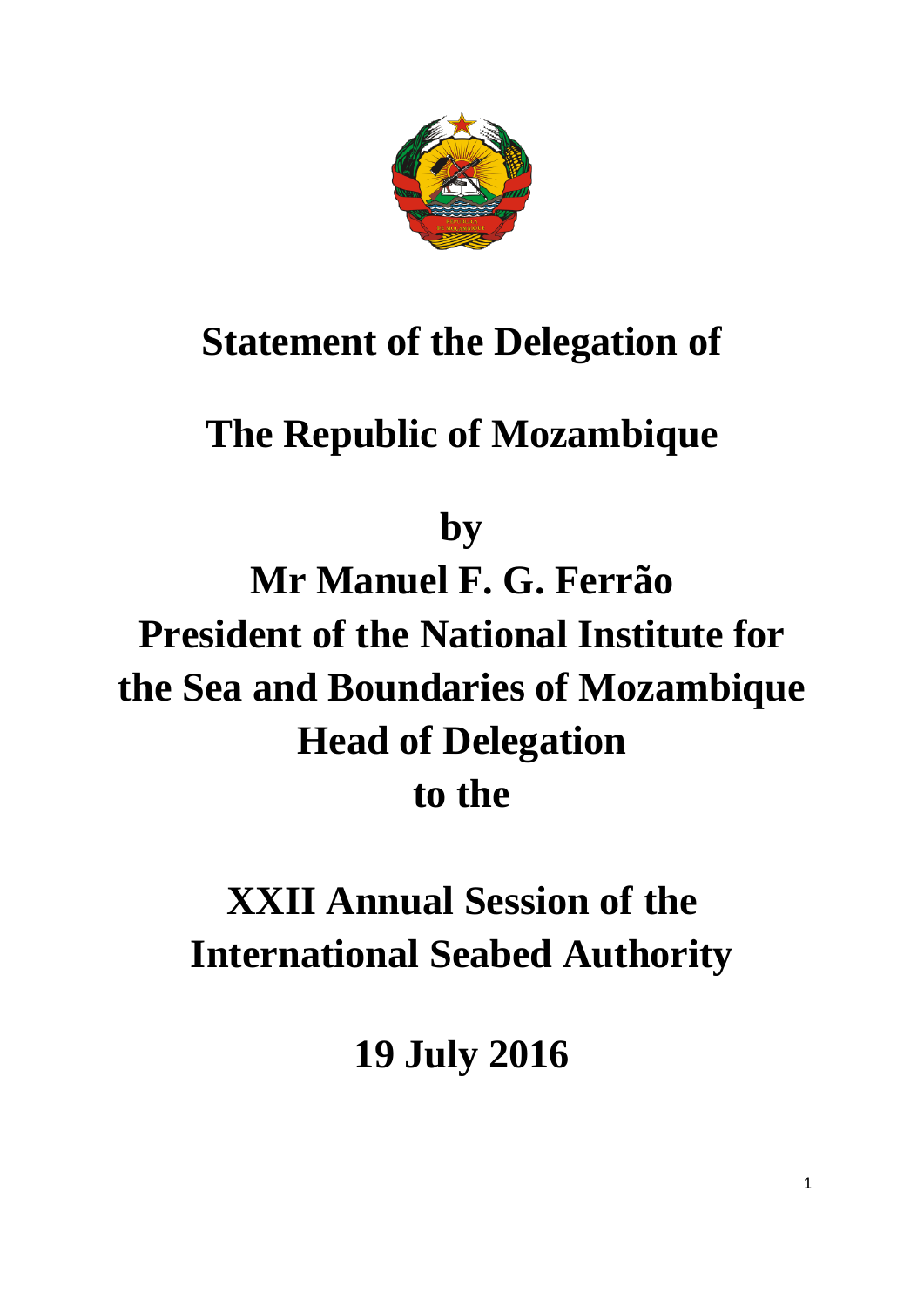

### **Statement of the Delegation of**

## **The Republic of Mozambique**

**by**

**Mr Manuel F. G. Ferrão President of the National Institute for the Sea and Boundaries of Mozambique Head of Delegation to the**

# **XXII Annual Session of the International Seabed Authority**

**19 July 2016**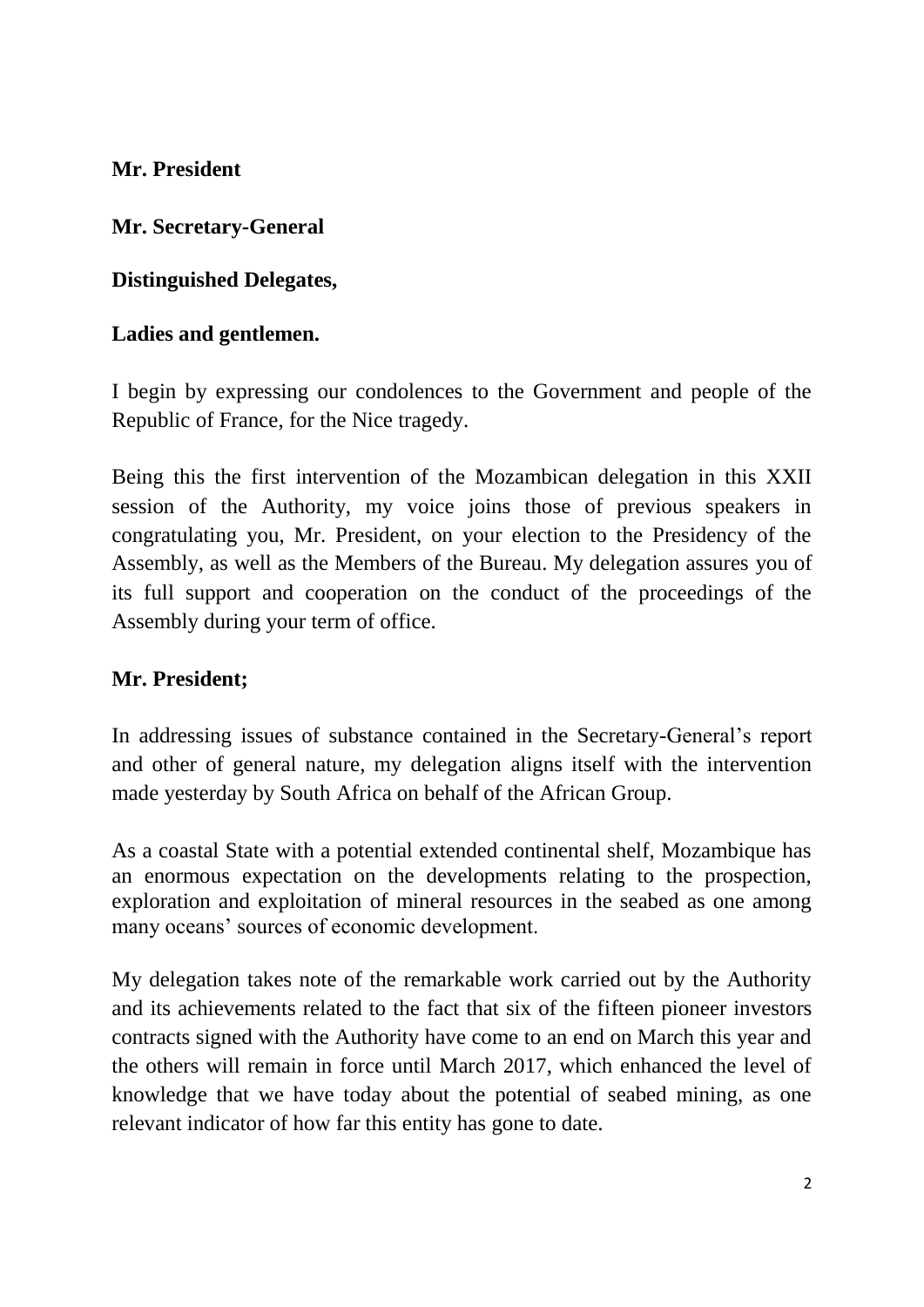**Mr. President** 

**Mr. Secretary-General** 

**Distinguished Delegates,** 

#### **Ladies and gentlemen.**

I begin by expressing our condolences to the Government and people of the Republic of France, for the Nice tragedy.

Being this the first intervention of the Mozambican delegation in this XXII session of the Authority, my voice joins those of previous speakers in congratulating you, Mr. President, on your election to the Presidency of the Assembly, as well as the Members of the Bureau. My delegation assures you of its full support and cooperation on the conduct of the proceedings of the Assembly during your term of office.

#### **Mr. President;**

In addressing issues of substance contained in the Secretary-General's report and other of general nature, my delegation aligns itself with the intervention made yesterday by South Africa on behalf of the African Group.

As a coastal State with a potential extended continental shelf, Mozambique has an enormous expectation on the developments relating to the prospection, exploration and exploitation of mineral resources in the seabed as one among many oceans' sources of economic development.

My delegation takes note of the remarkable work carried out by the Authority and its achievements related to the fact that six of the fifteen pioneer investors contracts signed with the Authority have come to an end on March this year and the others will remain in force until March 2017, which enhanced the level of knowledge that we have today about the potential of seabed mining, as one relevant indicator of how far this entity has gone to date.